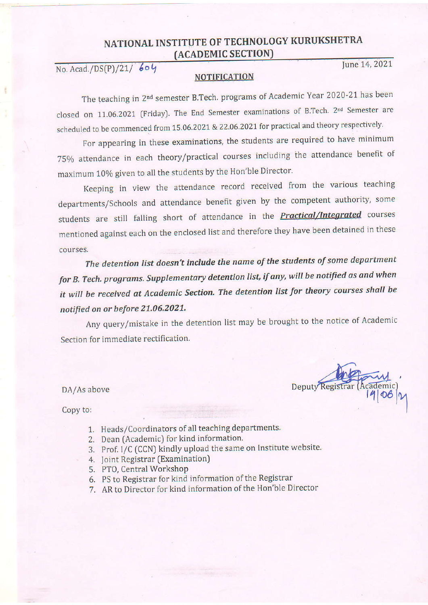#### NATIONAL INSTITUTE OF TECHNOLOGY KURUKSHETRA (ACADEMIC SECTION

No. Acad./DS(P)/21/ 604

June 14, 2021

#### NOTIFICATION

The teaching in 2nd semester B.Tech. programs of Academic Year 2020-21 has been closed on 11.06.2021 (Friday). The End Semester examinations of B.Tech. 2<sup>nd</sup> Semester are scheduled to be commenced from 15.06.2021 & 22.06.2021 for practical and theory respectively.

For appearing in these examinations, the students are required to have minimum 75yo attendance in each theory/practical courses including the attendance benefit of maximum 10% given to all the students by the Hon'ble Director.

Keeping in view the attendance record received from the various teaching departments/Schools and attendance benefit given by the competent authority, some students are still falling short of attendance in the **Practical/Integrated** courses mentioned against each on the enclosed list and therefore they have been detained in these courses.

The detention list doesn't include the name of the students of some department for B. Tech. programs. Supplementary detention list, if any, will be notified as and when it will be received at Academic Section. The detention list for theory courses shall be notified on or before 21.06.2021.

Any query/mistake in the detention list may be brought to the notice of Academic Section for immediate rectification.

DA/As above

Copy to:

- 1. Heads/Coordinators of all teaching departments.
- 2. Dean [Academic) for kind information
- 3. Prof. I/C (CCN) kindly upload the same on Institute website.
- 4. Joint Registrar (Examination)
- 5. PT0, Central Workshop
- 6. PS to Registrar for kind information of the Registrar
- 7. AR to Director for kind information of the Hon'ble Director

Deputy Registr c)  $\frac{1}{2}$ 

I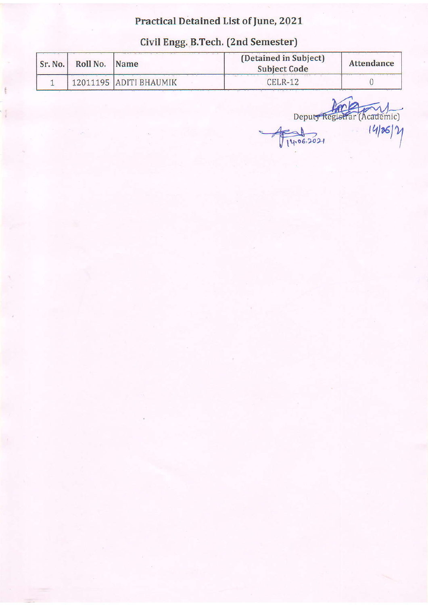# **Practical Detained List of June, 2021**

| Civil Engg. B.Tech. (2nd Semester) |  |
|------------------------------------|--|
|------------------------------------|--|

| Sr. No.   Roll No.   Name |                        | (Detained in Subject)<br><b>Subject Code</b> | Attendance |
|---------------------------|------------------------|----------------------------------------------|------------|
|                           | 12011195 ADITI BHAUMIK | $CELR-12$                                    |            |

Deputy Registrar (Academic)  $1406.2021$ ĨŤ